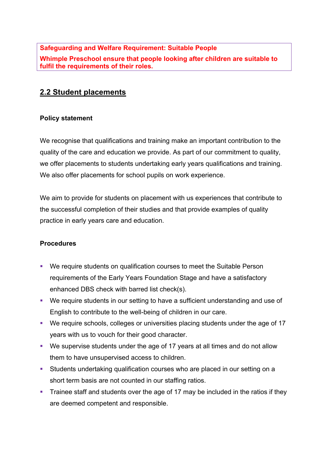## **Safeguarding and Welfare Requirement: Suitable People**

**Whimple Preschool ensure that people looking after children are suitable to fulfil the requirements of their roles.**

## **2.2 Student placements**

## **Policy statement**

We recognise that qualifications and training make an important contribution to the quality of the care and education we provide. As part of our commitment to quality, we offer placements to students undertaking early years qualifications and training. We also offer placements for school pupils on work experience.

We aim to provide for students on placement with us experiences that contribute to the successful completion of their studies and that provide examples of quality practice in early years care and education.

## **Procedures**

- We require students on qualification courses to meet the Suitable Person requirements of the Early Years Foundation Stage and have a satisfactory enhanced DBS check with barred list check(s).
- We require students in our setting to have a sufficient understanding and use of English to contribute to the well-being of children in our care.
- § We require schools, colleges or universities placing students under the age of 17 years with us to vouch for their good character.
- § We supervise students under the age of 17 years at all times and do not allow them to have unsupervised access to children.
- § Students undertaking qualification courses who are placed in our setting on a short term basis are not counted in our staffing ratios.
- Trainee staff and students over the age of 17 may be included in the ratios if they are deemed competent and responsible.